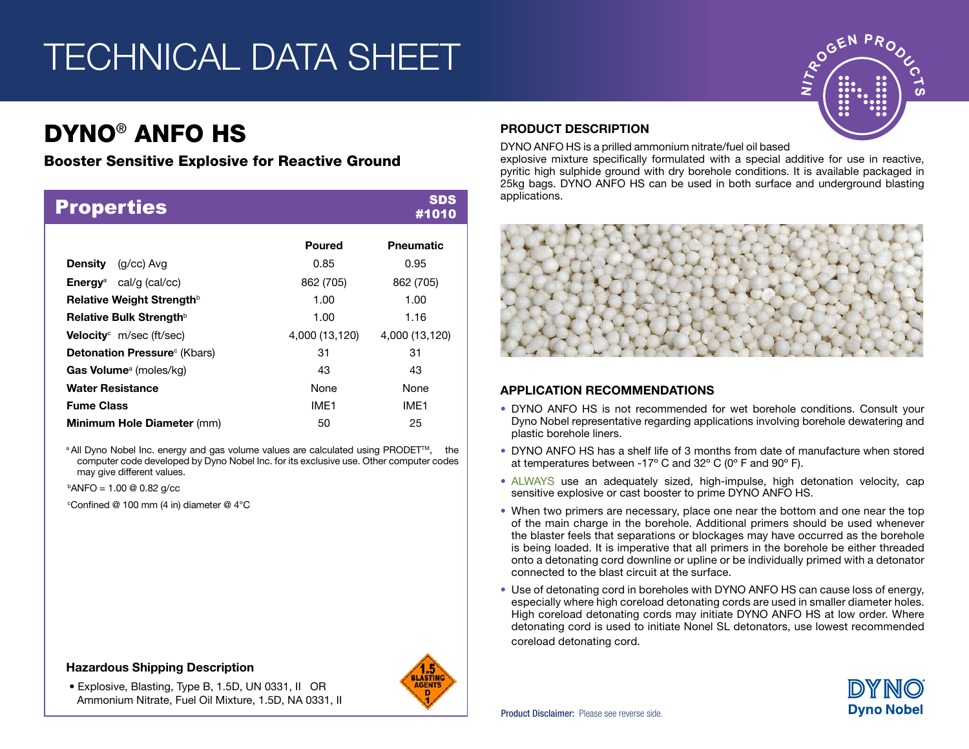# TECHNICAL DATA SHEET

### DYNO® ANFO HS

### Booster Sensitive Explosive for Reactive Ground

| <b>Properties</b>                         |                  | <b>SDS</b><br>#1010 |
|-------------------------------------------|------------------|---------------------|
|                                           | Poured           | <b>Pneumatic</b>    |
| <b>Density</b><br>(g/cc) Avg              | 0.85             | 0.95                |
| <b>Energy</b> <sup>a</sup> cal/g (cal/cc) | 862 (705)        | 862 (705)           |
| Relative Weight Strength <sup>b</sup>     | 1.00             | 1.00                |
| Relative Bulk Strength <sup>b</sup>       | 1.00             | 1.16                |
| <b>Velocity</b> $m/sec$ (ft/sec)          | 4,000 (13,120)   | 4,000 (13,120)      |
| <b>Detonation Pressure</b> (Kbars)        | 31               | 31                  |
| <b>Gas Volume</b> <sup>a</sup> (moles/kg) | 43               | 43                  |
| <b>Water Resistance</b>                   | <b>None</b>      | <b>None</b>         |
| <b>Fume Class</b>                         | IMF <sub>1</sub> | IME <sub>1</sub>    |
| <b>Minimum Hole Diameter (mm)</b>         | 50               | 25                  |

<sup>a</sup> All Dyno Nobel Inc. energy and gas volume values are calculated using PRODET<sup>™</sup>, the computer code developed by Dyno Nobel Inc. for its exclusive use. Other computer codes may give different values.

 $\mathrm{PANFO} = 1.00 \otimes 0.82 \mathrm{q/cc}$ 

 $\mathrm{^{\circ}Confined}$  @ 100 mm (4 in) diameter @ 4 $\mathrm{^{\circ}C}$ 

### Hazardous Shipping Description

 • Explosive, Blasting, Type B, 1.5D, UN 0331, II OR Ammonium Nitrate, Fuel Oil Mixture, 1.5D, NA 0331, II



### PRODUCT DESCRIPTION

DYNO ANFO HS is a prilled ammonium nitrate/fuel oil based

explosive mixture specifically formulated with a special additive for use in reactive, pyritic high sulphide ground with dry borehole conditions. It is available packaged in 25kg bags. DYNO ANFO HS can be used in both surface and underground blasting applications.

**EN PRODUCE A PRODUCT** 

ഗ



### APPLICATION RECOMMENDATIONS

- DYNO ANFO HS is not recommended for wet borehole conditions. Consult your Dyno Nobel representative regarding applications involving borehole dewatering and plastic borehole liners.
- DYNO ANFO HS has a shelf life of 3 months from date of manufacture when stored at temperatures between -17º C and 32º C (0º F and 90º F).
- ALWAYS use an adequately sized, high-impulse, high detonation velocity, cap sensitive explosive or cast booster to prime DYNO ANFO HS.
- When two primers are necessary, place one near the bottom and one near the top of the main charge in the borehole. Additional primers should be used whenever the blaster feels that separations or blockages may have occurred as the borehole is being loaded. It is imperative that all primers in the borehole be either threaded onto a detonating cord downline or upline or be individually primed with a detonator connected to the blast circuit at the surface.
- Use of detonating cord in boreholes with DYNO ANFO HS can cause loss of energy, especially where high coreload detonating cords are used in smaller diameter holes. High coreload detonating cords may initiate DYNO ANFO HS at low order. Where detonating cord is used to initiate Nonel SL detonators, use lowest recommended coreload detonating cord.